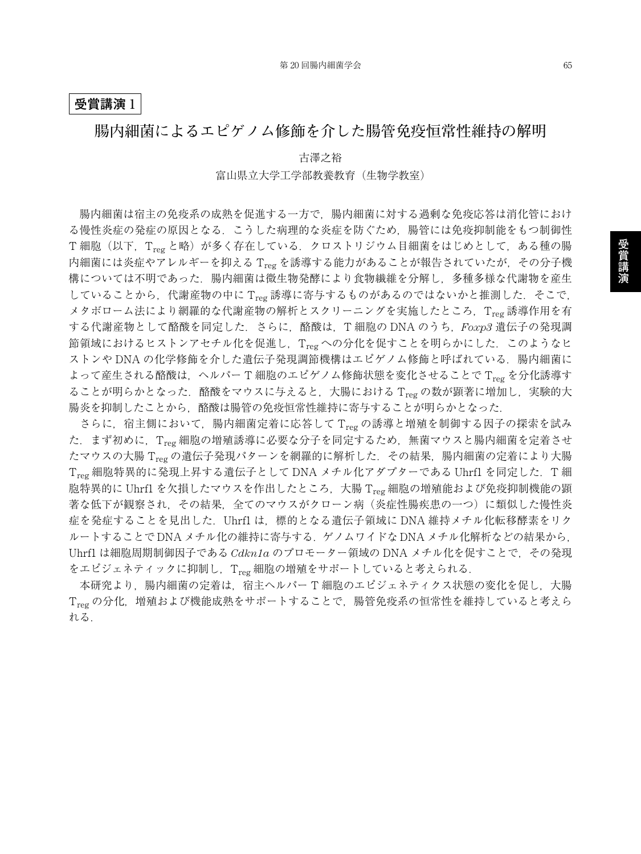## **受賞講演** 1

## **腸内細菌によるエピゲノム修飾を介した腸管免疫恒常性維持の解明**

古澤之裕 富山県立大学工学部教養教育(生物学教室)

腸内細菌は宿主の免疫系の成熟を促進する一方で,腸内細菌に対する過剰な免疫応答は消化管におけ る慢性炎症の発症の原因となる.こうした病理的な炎症を防ぐため,腸管には免疫抑制能をもつ制御性 T細胞(以下, Treg と略)が多く存在している. クロストリジウム目細菌をはじめとして、ある種の腸 内細菌には炎症やアレルギーを抑える Treg を誘導する能力があることが報告されていたが, その分子機 構については不明であった.腸内細菌は微生物発酵により食物繊維を分解し,多種多様な代謝物を産生 していることから、代謝産物の中に Treg 誘導に寄与するものがあるのではないかと推測した. そこで, メタボローム法により網羅的な代謝産物の解析とスクリーニングを実施したところ、Treg 誘導作用を有 する代謝産物として酪酸を同定した.さらに,酪酸は,T 細胞の DNA のうち,*Foxp3* 遺伝子の発現調 節領域におけるヒストンアセチル化を促進し, Treg への分化を促すことを明らかにした. このようなヒ ストンや DNA の化学修飾を介した遺伝子発現調節機構はエピゲノム修飾と呼ばれている. 腸内細菌に よって産生される酪酸は、ヘルパーT 細胞のエピゲノム修飾状態を変化させることでTreg を分化誘導す ることが明らかとなった. 酪酸をマウスに与えると,大腸における Treg の数が顕著に増加し,実験的大 腸炎を抑制したことから,酪酸は腸管の免疫恒常性維持に寄与することが明らかとなった.

さらに,宿主側において,腸内細菌定着に応答して Treg の誘導と増殖を制御する因子の探索を試み た.まず初めに,Treg 細胞の増殖誘導に必要な分子を同定するため,無菌マウスと腸内細菌を定着させ たマウスの大腸 Treg の遺伝子発現パターンを網羅的に解析した. その結果, 腸内細菌の定着により大腸  $T_{reg}$ 細胞特異的に発現上昇する遺伝子として DNA メチル化アダプターである Uhrfl を同定した. T 細 胞特異的に Uhrfl を欠損したマウスを作出したところ、大腸 Treg 細胞の増殖能および免疫抑制機能の顕 著な低下が観察され,その結果,全てのマウスがクローン病(炎症性腸疾患の一つ)に類似した慢性炎 症を発症することを見出した.Uhrf1 は,標的となる遺伝子領域に DNA 維持メチル化転移酵素をリク ルートすることで DNA メチル化の維持に寄与する.ゲノムワイドな DNA メチル化解析などの結果から, Uhrf1 は細胞周期制御因子である *Cdkn1a* のプロモーター領域の DNA メチル化を促すことで,その発現 をエピジェネティックに抑制し、Treg 細胞の増殖をサポートしていると考えられる.

本研究より, 腸内細菌の定着は, 宿主ヘルパー T 細胞のエピジェネティクス状態の変化を促し, 大腸 Treg の分化,増殖および機能成熟をサポートすることで、腸管免疫系の恒常性を維持していると考えら れる.